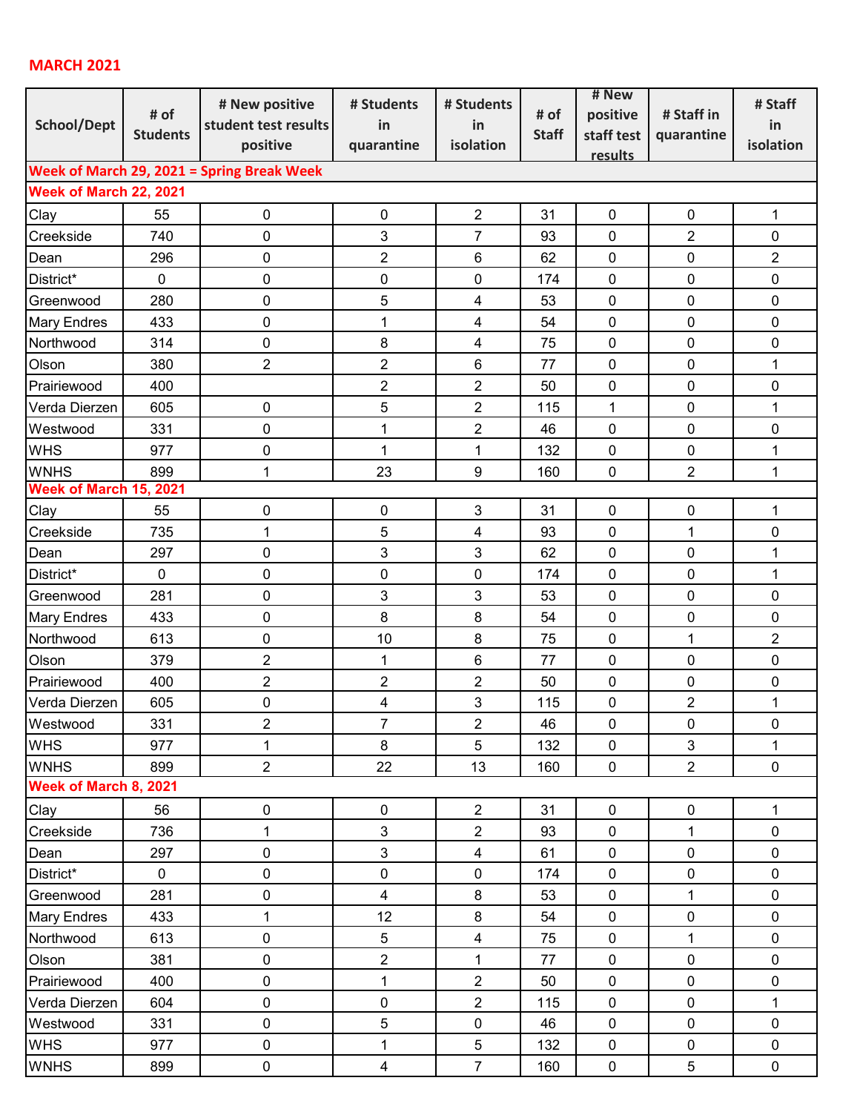## **MARCH 2021**

| <b>School/Dept</b>                         | # of<br><b>Students</b> | # New positive<br>student test results<br>positive | # Students<br>in<br>quarantine | # Students<br>in<br>isolation | # of<br><b>Staff</b> | # New                  |                | # Staff        |  |  |  |
|--------------------------------------------|-------------------------|----------------------------------------------------|--------------------------------|-------------------------------|----------------------|------------------------|----------------|----------------|--|--|--|
|                                            |                         |                                                    |                                |                               |                      | positive<br>staff test | # Staff in     | in             |  |  |  |
|                                            |                         |                                                    |                                |                               |                      |                        | quarantine     | isolation      |  |  |  |
|                                            |                         |                                                    |                                |                               |                      | results                |                |                |  |  |  |
| Week of March 29, 2021 = Spring Break Week |                         |                                                    |                                |                               |                      |                        |                |                |  |  |  |
| Week of March 22, 2021                     |                         |                                                    |                                |                               |                      |                        |                |                |  |  |  |
| Clay                                       | 55                      | 0                                                  | $\pmb{0}$                      | $\overline{2}$                | 31                   | 0                      | $\mathbf 0$    | $\mathbf{1}$   |  |  |  |
| Creekside                                  | 740                     | 0                                                  | $\mathbf{3}$                   | $\overline{7}$                | 93                   | $\mathbf 0$            | $\overline{2}$ | 0              |  |  |  |
| Dean                                       | 296                     | 0                                                  | $\overline{2}$                 | $\,6\,$                       | 62                   | $\pmb{0}$              | $\pmb{0}$      | $\overline{2}$ |  |  |  |
| District*                                  | $\mathbf 0$             | 0                                                  | 0                              | 0                             | 174                  | $\mathbf 0$            | 0              | 0              |  |  |  |
| Greenwood                                  | 280                     | 0                                                  | 5                              | $\overline{\mathbf{4}}$       | 53                   | $\mathbf 0$            | $\mathbf 0$    | 0              |  |  |  |
| <b>Mary Endres</b>                         | 433                     | 0                                                  | $\mathbf 1$                    | $\overline{4}$                | 54                   | $\mathbf 0$            | $\mathbf 0$    | 0              |  |  |  |
| Northwood                                  | 314                     | 0                                                  | 8                              | $\overline{\mathbf{4}}$       | 75                   | $\mathbf 0$            | $\mathbf 0$    | 0              |  |  |  |
| Olson                                      | 380                     | 2                                                  | $\overline{2}$                 | 6                             | 77                   | $\mathbf 0$            | 0              | 1              |  |  |  |
| Prairiewood                                | 400                     |                                                    | $\overline{2}$                 | $\overline{2}$                | 50                   | $\mathbf 0$            | $\mathbf 0$    | $\pmb{0}$      |  |  |  |
| Verda Dierzen                              | 605                     | 0                                                  | 5                              | $\overline{c}$                | 115                  | $\mathbf{1}$           | $\pmb{0}$      | 1              |  |  |  |
| Westwood                                   | 331                     | 0                                                  | $\mathbf 1$                    | $\overline{2}$                | 46                   | $\mathbf 0$            | $\mathbf 0$    | 0              |  |  |  |
| <b>WHS</b>                                 | 977                     | 0                                                  | $\mathbf{1}$                   | $\mathbf{1}$                  | 132                  | $\pmb{0}$              | $\pmb{0}$      | $\mathbf 1$    |  |  |  |
| <b>WNHS</b>                                | 899                     | $\mathbf{1}$                                       | 23                             | $9\,$                         | 160                  | $\mathbf 0$            | $\overline{2}$ | $\mathbf{1}$   |  |  |  |
| Week of March 15, 2021                     |                         |                                                    |                                |                               |                      |                        |                |                |  |  |  |
| Clay                                       | 55                      | 0                                                  | $\pmb{0}$                      | 3                             | 31                   | $\pmb{0}$              | $\pmb{0}$      | $\mathbf{1}$   |  |  |  |
| Creekside                                  | 735                     | $\mathbf{1}$                                       | 5                              | $\overline{\mathbf{4}}$       | 93                   | $\mathbf 0$            | $\mathbf{1}$   | 0              |  |  |  |
| Dean                                       | 297                     | 0                                                  | 3                              | $\mathbf{3}$                  | 62                   | $\mathbf 0$            | $\mathbf 0$    | 1              |  |  |  |
| District*                                  | $\pmb{0}$               | 0                                                  | 0                              | $\pmb{0}$                     | 174                  | $\pmb{0}$              | $\pmb{0}$      | 1              |  |  |  |
| Greenwood                                  | 281                     | 0                                                  | 3                              | $\mathbf{3}$                  | 53                   | $\pmb{0}$              | $\pmb{0}$      | $\pmb{0}$      |  |  |  |
| <b>Mary Endres</b>                         | 433                     | 0                                                  | 8                              | 8                             | 54                   | $\mathbf 0$            | $\mathbf 0$    | 0              |  |  |  |
| Northwood                                  | 613                     | 0                                                  | 10                             | $\bf 8$                       | 75                   | $\mathbf 0$            | $\mathbf 1$    | $\overline{2}$ |  |  |  |
| Olson                                      | 379                     | 2                                                  | 1                              | $6\phantom{1}$                | 77                   | $\mathbf 0$            | $\mathbf 0$    | $\mathbf 0$    |  |  |  |
| Prairiewood                                | 400                     | $\overline{c}$                                     | $\overline{2}$                 | $\overline{2}$                | 50                   | $\mathbf 0$            | $\pmb{0}$      | $\pmb{0}$      |  |  |  |
| Verda Dierzen                              | 605                     | 0                                                  | $\overline{\mathbf{4}}$        | 3                             | 115                  | $\pmb{0}$              | $\overline{2}$ | 1              |  |  |  |
| Westwood                                   | 331                     | $\overline{\mathbf{c}}$                            | $\overline{7}$                 | $\overline{2}$                | 46                   | $\pmb{0}$              | $\pmb{0}$      | $\pmb{0}$      |  |  |  |
| <b>WHS</b>                                 | 977                     | $\mathbf{1}$                                       | 8                              | 5                             | 132                  | $\pmb{0}$              | $\mathbf{3}$   | $\mathbf{1}$   |  |  |  |
| <b>WNHS</b>                                | 899                     | $\overline{2}$                                     | 22                             | 13                            | 160                  | $\pmb{0}$              | $\overline{2}$ | $\mathbf 0$    |  |  |  |
| Week of March 8, 2021                      |                         |                                                    |                                |                               |                      |                        |                |                |  |  |  |
| Clay                                       | 56                      | 0                                                  | $\pmb{0}$                      | $\overline{2}$                | 31                   | $\pmb{0}$              | $\pmb{0}$      | $\mathbf{1}$   |  |  |  |
| Creekside                                  | 736                     | $\mathbf{1}$                                       | $\mathbf{3}$                   | $\overline{2}$                | 93                   | $\pmb{0}$              | 1              | $\pmb{0}$      |  |  |  |
| Dean                                       | 297                     | 0                                                  | $\mathbf{3}$                   | $\overline{\mathbf{4}}$       | 61                   | $\pmb{0}$              | $\pmb{0}$      | $\pmb{0}$      |  |  |  |
| District*                                  | $\mathbf 0$             | 0                                                  | $\pmb{0}$                      | $\pmb{0}$                     | 174                  | $\pmb{0}$              | $\pmb{0}$      | $\pmb{0}$      |  |  |  |
| Greenwood                                  | 281                     | 0                                                  | $\overline{\mathbf{4}}$        | $\,8\,$                       | 53                   | $\pmb{0}$              | $\mathbf{1}$   | $\pmb{0}$      |  |  |  |
| <b>Mary Endres</b>                         | 433                     | 1                                                  | 12                             | $\bf 8$                       | 54                   | $\pmb{0}$              | $\pmb{0}$      | $\mathbf 0$    |  |  |  |
| Northwood                                  | 613                     | $\pmb{0}$                                          | $\sqrt{5}$                     | $\overline{4}$                | 75                   | $\pmb{0}$              | $\mathbf 1$    | $\pmb{0}$      |  |  |  |
| Olson                                      | 381                     | 0                                                  | $\overline{2}$                 | $\mathbf{1}$                  | 77                   | $\pmb{0}$              | $\pmb{0}$      | $\pmb{0}$      |  |  |  |
| Prairiewood                                | 400                     | 0                                                  | $\mathbf 1$                    | $\overline{2}$                | 50                   | $\pmb{0}$              | $\pmb{0}$      | $\pmb{0}$      |  |  |  |
| Verda Dierzen                              | 604                     | 0                                                  | $\pmb{0}$                      | $\overline{2}$                | 115                  | $\mathbf 0$            | $\pmb{0}$      | $\mathbf{1}$   |  |  |  |
| Westwood                                   | 331                     | $\pmb{0}$                                          | $\sqrt{5}$                     | $\pmb{0}$                     | 46                   | $\pmb{0}$              | $\pmb{0}$      | $\pmb{0}$      |  |  |  |
| <b>WHS</b>                                 | 977                     | 0                                                  | $\mathbf 1$                    | $\sqrt{5}$                    | 132                  | $\pmb{0}$              | $\pmb{0}$      | $\pmb{0}$      |  |  |  |
| <b>WNHS</b>                                | 899                     | $\pmb{0}$                                          | $\overline{\mathbf{4}}$        | $\overline{7}$                | 160                  | $\pmb{0}$              | 5              | $\mathbf 0$    |  |  |  |
|                                            |                         |                                                    |                                |                               |                      |                        |                |                |  |  |  |